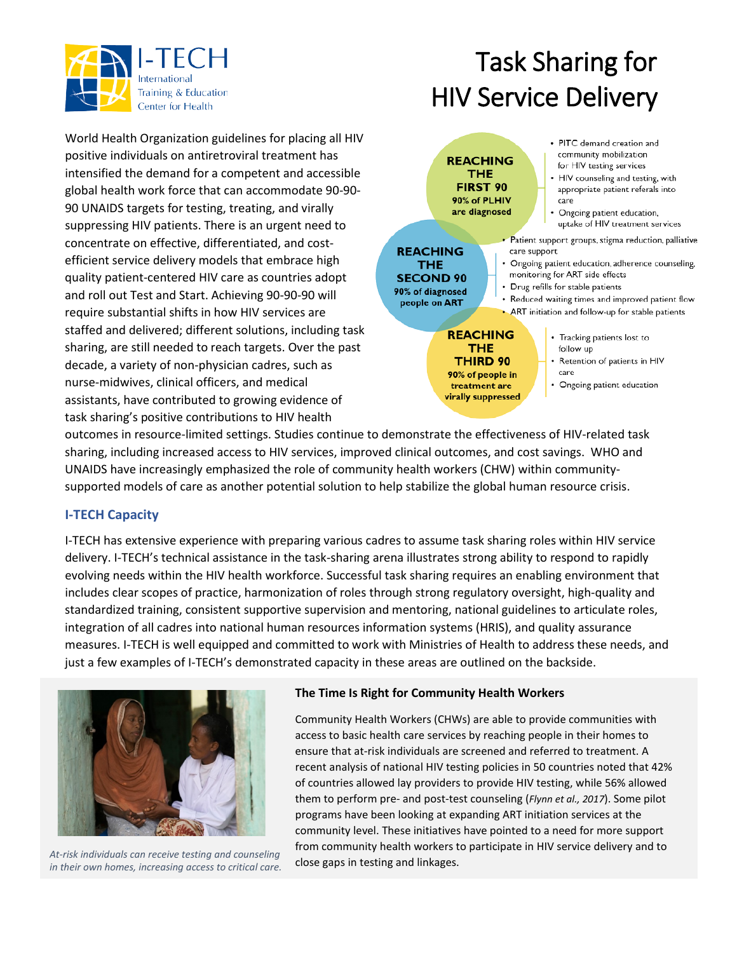

# Task Sharing for HIV Service Delivery

World Health Organization guidelines for placing all HIV positive individuals on antiretroviral treatment has intensified the demand for a competent and accessible global health work force that can accommodate 90-90- 90 UNAIDS targets for testing, treating, and virally suppressing HIV patients. There is an urgent need to concentrate on effective, differentiated, and costefficient service delivery models that embrace high quality patient-centered HIV care as countries adopt and roll out Test and Start. Achieving 90-90-90 will require substantial shifts in how HIV services are staffed and delivered; different solutions, including task sharing, are still needed to reach targets. Over the past decade, a variety of non-physician cadres, such as nurse-midwives, clinical officers, and medical assistants, have contributed to growing evidence of task sharing's positive contributions to HIV health



#### **REACHING** THE **THIRD 90** 90% of people in treatment are virally suppressed

- Tracking patients lost to follow up
- Retention of patients in HIV care
- Ongoing patient education

outcomes in resource-limited settings. Studies continue to demonstrate the effectiveness of HIV-related task sharing, including increased access to HIV services, improved clinical outcomes, and cost savings. WHO and UNAIDS have increasingly emphasized the role of community health workers (CHW) within communitysupported models of care as another potential solution to help stabilize the global human resource crisis.

### **I-TECH Capacity**

I-TECH has extensive experience with preparing various cadres to assume task sharing roles within HIV service delivery. I-TECH's technical assistance in the task-sharing arena illustrates strong ability to respond to rapidly evolving needs within the HIV health workforce. Successful task sharing requires an enabling environment that includes clear scopes of practice, harmonization of roles through strong regulatory oversight, high-quality and standardized training, consistent supportive supervision and mentoring, national guidelines to articulate roles, integration of all cadres into national human resources information systems (HRIS), and quality assurance measures. I-TECH is well equipped and committed to work with Ministries of Health to address these needs, and just a few examples of I-TECH's demonstrated capacity in these areas are outlined on the backside.



close gaps in testing and linkages. *At-risk individuals can receive testing and counseling in their own homes, increasing access to critical care.*

### **The Time Is Right for Community Health Workers**

Community Health Workers (CHWs) are able to provide communities with access to basic health care services by reaching people in their homes to ensure that at-risk individuals are screened and referred to treatment. A recent analysis of national HIV testing policies in 50 countries noted that 42% of countries allowed lay providers to provide HIV testing, while 56% allowed them to perform pre- and post-test counseling (*Flynn et al., 2017*). Some pilot programs have been looking at expanding ART initiation services at the community level. These initiatives have pointed to a need for more support from community health workers to participate in HIV service delivery and to